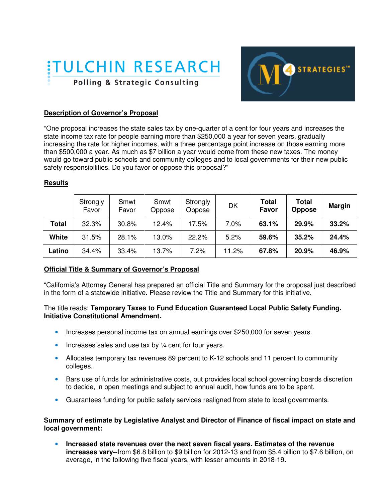



## **Description of Governor's Proposal**

"One proposal increases the state sales tax by one-quarter of a cent for four years and increases the state income tax rate for people earning more than \$250,000 a year for seven years, gradually increasing the rate for higher incomes, with a three percentage point increase on those earning more than \$500,000 a year. As much as \$7 billion a year would come from these new taxes. The money would go toward public schools and community colleges and to local governments for their new public safety responsibilities. Do you favor or oppose this proposal?"

## **Results**

|              | Strongly<br>Favor | Smwt<br>Favor | Smwt<br>Oppose | Strongly<br>Oppose | DK    | Total<br>Favor | <b>Total</b><br><b>Oppose</b> | <b>Margin</b> |
|--------------|-------------------|---------------|----------------|--------------------|-------|----------------|-------------------------------|---------------|
| Total        | 32.3%             | 30.8%         | 12.4%          | 17.5%              | 7.0%  | 63.1%          | 29.9%                         | 33.2%         |
| <b>White</b> | 31.5%             | 28.1%         | 13.0%          | 22.2%              | 5.2%  | 59.6%          | 35.2%                         | 24.4%         |
| Latino       | 34.4%             | 33.4%         | 13.7%          | 7.2%               | 11.2% | 67.8%          | 20.9%                         | 46.9%         |

## **Official Title & Summary of Governor's Proposal**

"California's Attorney General has prepared an official Title and Summary for the proposal just described in the form of a statewide initiative. Please review the Title and Summary for this initiative.

#### The title reads: **Temporary Taxes to Fund Education Guaranteed Local Public Safety Funding. Initiative Constitutional Amendment.**

- Increases personal income tax on annual earnings over \$250,000 for seven years.
- Increases sales and use tax by ¼ cent for four years.
- Allocates temporary tax revenues 89 percent to K-12 schools and 11 percent to community colleges.
- Bars use of funds for administrative costs, but provides local school governing boards discretion to decide, in open meetings and subject to annual audit, how funds are to be spent.
- Guarantees funding for public safety services realigned from state to local governments.

## **Summary of estimate by Legislative Analyst and Director of Finance of fiscal impact on state and local government:**

• **Increased state revenues over the next seven fiscal years. Estimates of the revenue increases vary--**from \$6.8 billion to \$9 billion for 2012-13 and from \$5.4 billion to \$7.6 billion, on average, in the following five fiscal years, with lesser amounts in 2018-19**.**